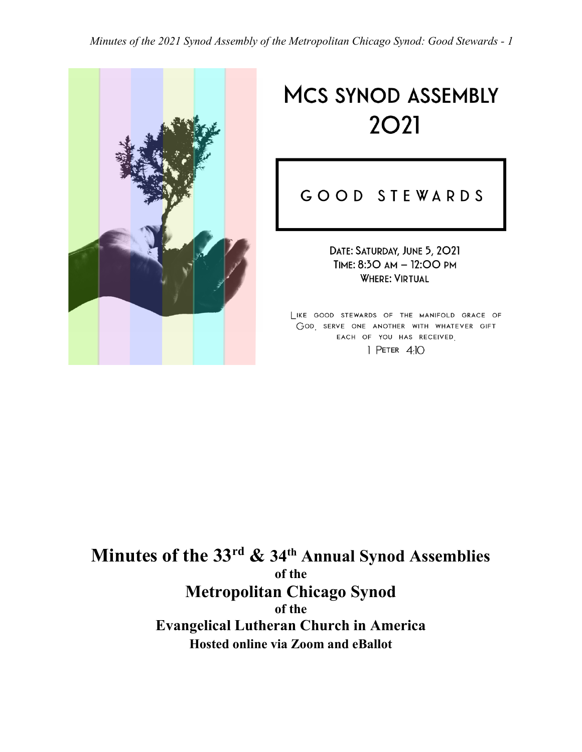*Minutes of the 2021 Synod Assembly of the Metropolitan Chicago Synod: Good Stewards - 1*



# **MCS SYNOD ASSEMBLY 2O21**

# GOOD STEWARDS

DATE: SATURDAY, JUNE 5, 2021 TIME: 8:30 AM - 12:00 PM **WHERE: VIRTUAL** 

LIKE GOOD STEWARDS OF THE MANIFOLD GRACE OF GOD SERVE ONE ANOTHER WITH WHATEVER GIFT EACH OF YOU HAS RECEIVED  $|$  Peter 4:10

**Minutes of the 33rd & 34th Annual Synod Assemblies of the Metropolitan Chicago Synod of the Evangelical Lutheran Church in America Hosted online via Zoom and eBallot**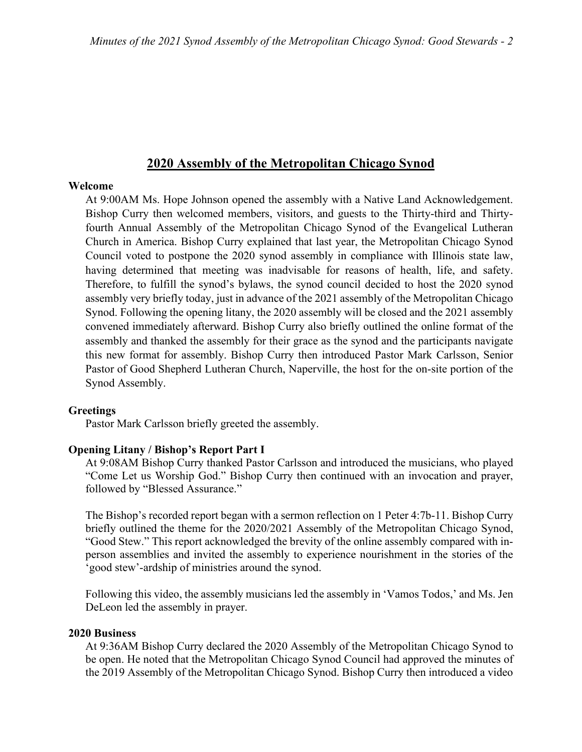# **2020 Assembly of the Metropolitan Chicago Synod**

#### **Welcome**

At 9:00AM Ms. Hope Johnson opened the assembly with a Native Land Acknowledgement. Bishop Curry then welcomed members, visitors, and guests to the Thirty-third and Thirtyfourth Annual Assembly of the Metropolitan Chicago Synod of the Evangelical Lutheran Church in America. Bishop Curry explained that last year, the Metropolitan Chicago Synod Council voted to postpone the 2020 synod assembly in compliance with Illinois state law, having determined that meeting was inadvisable for reasons of health, life, and safety. Therefore, to fulfill the synod's bylaws, the synod council decided to host the 2020 synod assembly very briefly today, just in advance of the 2021 assembly of the Metropolitan Chicago Synod. Following the opening litany, the 2020 assembly will be closed and the 2021 assembly convened immediately afterward. Bishop Curry also briefly outlined the online format of the assembly and thanked the assembly for their grace as the synod and the participants navigate this new format for assembly. Bishop Curry then introduced Pastor Mark Carlsson, Senior Pastor of Good Shepherd Lutheran Church, Naperville, the host for the on-site portion of the Synod Assembly.

#### **Greetings**

Pastor Mark Carlsson briefly greeted the assembly.

#### **Opening Litany / Bishop's Report Part I**

At 9:08AM Bishop Curry thanked Pastor Carlsson and introduced the musicians, who played "Come Let us Worship God." Bishop Curry then continued with an invocation and prayer, followed by "Blessed Assurance."

The Bishop's recorded report began with a sermon reflection on 1 Peter 4:7b-11. Bishop Curry briefly outlined the theme for the 2020/2021 Assembly of the Metropolitan Chicago Synod, "Good Stew." This report acknowledged the brevity of the online assembly compared with inperson assemblies and invited the assembly to experience nourishment in the stories of the 'good stew'-ardship of ministries around the synod.

Following this video, the assembly musicians led the assembly in 'Vamos Todos,' and Ms. Jen DeLeon led the assembly in prayer.

#### **2020 Business**

At 9:36AM Bishop Curry declared the 2020 Assembly of the Metropolitan Chicago Synod to be open. He noted that the Metropolitan Chicago Synod Council had approved the minutes of the 2019 Assembly of the Metropolitan Chicago Synod. Bishop Curry then introduced a video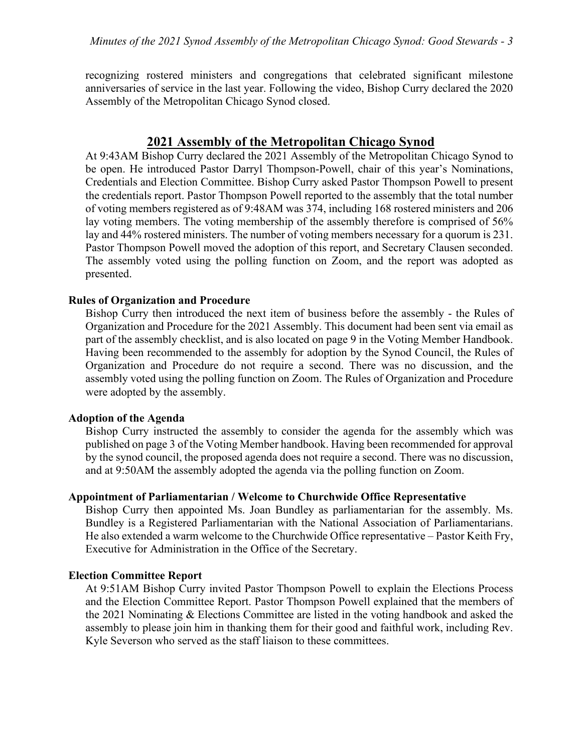recognizing rostered ministers and congregations that celebrated significant milestone anniversaries of service in the last year. Following the video, Bishop Curry declared the 2020 Assembly of the Metropolitan Chicago Synod closed.

# **2021 Assembly of the Metropolitan Chicago Synod**

At 9:43AM Bishop Curry declared the 2021 Assembly of the Metropolitan Chicago Synod to be open. He introduced Pastor Darryl Thompson-Powell, chair of this year's Nominations, Credentials and Election Committee. Bishop Curry asked Pastor Thompson Powell to present the credentials report. Pastor Thompson Powell reported to the assembly that the total number of voting members registered as of 9:48AM was 374, including 168 rostered ministers and 206 lay voting members. The voting membership of the assembly therefore is comprised of 56% lay and 44% rostered ministers. The number of voting members necessary for a quorum is 231. Pastor Thompson Powell moved the adoption of this report, and Secretary Clausen seconded. The assembly voted using the polling function on Zoom, and the report was adopted as presented.

#### **Rules of Organization and Procedure**

Bishop Curry then introduced the next item of business before the assembly - the Rules of Organization and Procedure for the 2021 Assembly. This document had been sent via email as part of the assembly checklist, and is also located on page 9 in the Voting Member Handbook. Having been recommended to the assembly for adoption by the Synod Council, the Rules of Organization and Procedure do not require a second. There was no discussion, and the assembly voted using the polling function on Zoom. The Rules of Organization and Procedure were adopted by the assembly.

#### **Adoption of the Agenda**

Bishop Curry instructed the assembly to consider the agenda for the assembly which was published on page 3 of the Voting Member handbook. Having been recommended for approval by the synod council, the proposed agenda does not require a second. There was no discussion, and at 9:50AM the assembly adopted the agenda via the polling function on Zoom.

# **Appointment of Parliamentarian / Welcome to Churchwide Office Representative**

Bishop Curry then appointed Ms. Joan Bundley as parliamentarian for the assembly. Ms. Bundley is a Registered Parliamentarian with the National Association of Parliamentarians. He also extended a warm welcome to the Churchwide Office representative – Pastor Keith Fry, Executive for Administration in the Office of the Secretary.

#### **Election Committee Report**

At 9:51AM Bishop Curry invited Pastor Thompson Powell to explain the Elections Process and the Election Committee Report. Pastor Thompson Powell explained that the members of the 2021 Nominating & Elections Committee are listed in the voting handbook and asked the assembly to please join him in thanking them for their good and faithful work, including Rev. Kyle Severson who served as the staff liaison to these committees.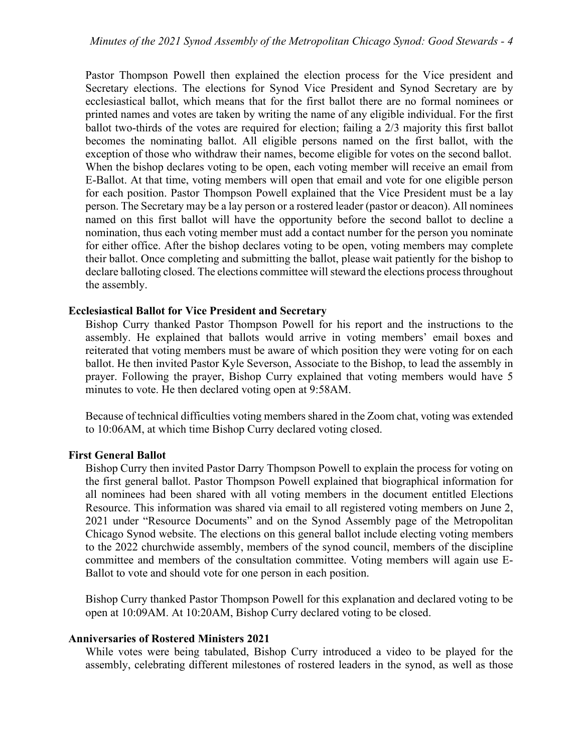Pastor Thompson Powell then explained the election process for the Vice president and Secretary elections. The elections for Synod Vice President and Synod Secretary are by ecclesiastical ballot, which means that for the first ballot there are no formal nominees or printed names and votes are taken by writing the name of any eligible individual. For the first ballot two-thirds of the votes are required for election; failing a 2/3 majority this first ballot becomes the nominating ballot. All eligible persons named on the first ballot, with the exception of those who withdraw their names, become eligible for votes on the second ballot. When the bishop declares voting to be open, each voting member will receive an email from E-Ballot. At that time, voting members will open that email and vote for one eligible person for each position. Pastor Thompson Powell explained that the Vice President must be a lay person. The Secretary may be a lay person or a rostered leader (pastor or deacon). All nominees named on this first ballot will have the opportunity before the second ballot to decline a nomination, thus each voting member must add a contact number for the person you nominate for either office. After the bishop declares voting to be open, voting members may complete their ballot. Once completing and submitting the ballot, please wait patiently for the bishop to declare balloting closed. The elections committee will steward the elections process throughout the assembly.

#### **Ecclesiastical Ballot for Vice President and Secretary**

Bishop Curry thanked Pastor Thompson Powell for his report and the instructions to the assembly. He explained that ballots would arrive in voting members' email boxes and reiterated that voting members must be aware of which position they were voting for on each ballot. He then invited Pastor Kyle Severson, Associate to the Bishop, to lead the assembly in prayer. Following the prayer, Bishop Curry explained that voting members would have 5 minutes to vote. He then declared voting open at 9:58AM.

Because of technical difficulties voting members shared in the Zoom chat, voting was extended to 10:06AM, at which time Bishop Curry declared voting closed.

#### **First General Ballot**

Bishop Curry then invited Pastor Darry Thompson Powell to explain the process for voting on the first general ballot. Pastor Thompson Powell explained that biographical information for all nominees had been shared with all voting members in the document entitled Elections Resource. This information was shared via email to all registered voting members on June 2, 2021 under "Resource Documents" and on the Synod Assembly page of the Metropolitan Chicago Synod website. The elections on this general ballot include electing voting members to the 2022 churchwide assembly, members of the synod council, members of the discipline committee and members of the consultation committee. Voting members will again use E-Ballot to vote and should vote for one person in each position.

Bishop Curry thanked Pastor Thompson Powell for this explanation and declared voting to be open at 10:09AM. At 10:20AM, Bishop Curry declared voting to be closed.

#### **Anniversaries of Rostered Ministers 2021**

While votes were being tabulated, Bishop Curry introduced a video to be played for the assembly, celebrating different milestones of rostered leaders in the synod, as well as those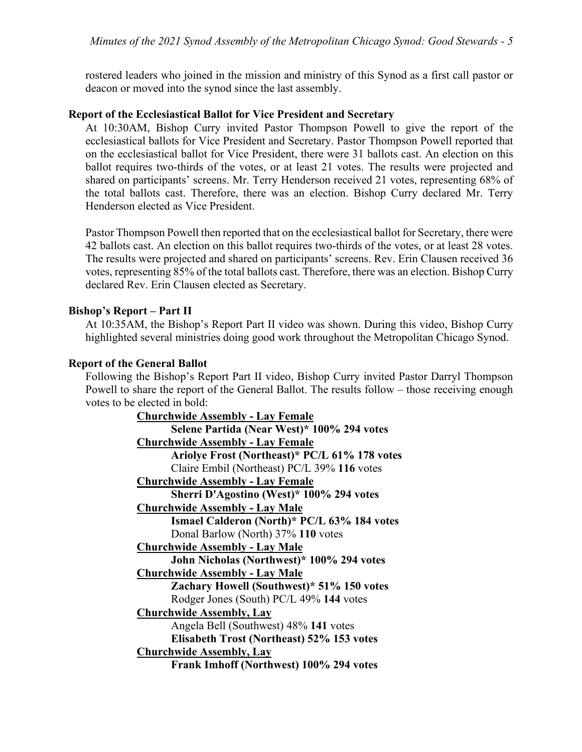rostered leaders who joined in the mission and ministry of this Synod as a first call pastor or deacon or moved into the synod since the last assembly.

#### **Report of the Ecclesiastical Ballot for Vice President and Secretary**

At 10:30AM, Bishop Curry invited Pastor Thompson Powell to give the report of the ecclesiastical ballots for Vice President and Secretary. Pastor Thompson Powell reported that on the ecclesiastical ballot for Vice President, there were 31 ballots cast. An election on this ballot requires two-thirds of the votes, or at least 21 votes. The results were projected and shared on participants' screens. Mr. Terry Henderson received 21 votes, representing 68% of the total ballots cast. Therefore, there was an election. Bishop Curry declared Mr. Terry Henderson elected as Vice President.

Pastor Thompson Powell then reported that on the ecclesiastical ballot for Secretary, there were 42 ballots cast. An election on this ballot requires two-thirds of the votes, or at least 28 votes. The results were projected and shared on participants' screens. Rev. Erin Clausen received 36 votes, representing 85% of the total ballots cast. Therefore, there was an election. Bishop Curry declared Rev. Erin Clausen elected as Secretary.

#### **Bishop's Report – Part II**

At 10:35AM, the Bishop's Report Part II video was shown. During this video, Bishop Curry highlighted several ministries doing good work throughout the Metropolitan Chicago Synod.

#### **Report of the General Ballot**

Following the Bishop's Report Part II video, Bishop Curry invited Pastor Darryl Thompson Powell to share the report of the General Ballot. The results follow – those receiving enough votes to be elected in bold:

| <b>Churchwide Assembly - Lay Female</b>       |
|-----------------------------------------------|
| Selene Partida (Near West)* 100% 294 votes    |
| <b>Churchwide Assembly - Lay Female</b>       |
| Ariolye Frost (Northeast)* PC/L 61% 178 votes |
| Claire Embil (Northeast) PC/L 39% 116 votes   |
| <b>Churchwide Assembly - Lay Female</b>       |
| Sherri D'Agostino (West)* 100% 294 votes      |
| <b>Churchwide Assembly - Lay Male</b>         |
| Ismael Calderon (North)* PC/L 63% 184 votes   |
| Donal Barlow (North) 37% 110 votes            |
| <b>Churchwide Assembly - Lay Male</b>         |
| John Nicholas (Northwest)* 100% 294 votes     |
| <b>Churchwide Assembly - Lay Male</b>         |
| Zachary Howell (Southwest)* 51% 150 votes     |
| Rodger Jones (South) PC/L 49% 144 votes       |
| <b>Churchwide Assembly, Lay</b>               |
| Angela Bell (Southwest) 48% 141 votes         |
| Elisabeth Trost (Northeast) 52% 153 votes     |
| <b>Churchwide Assembly, Lay</b>               |
| Frank Imhoff (Northwest) 100% 294 votes       |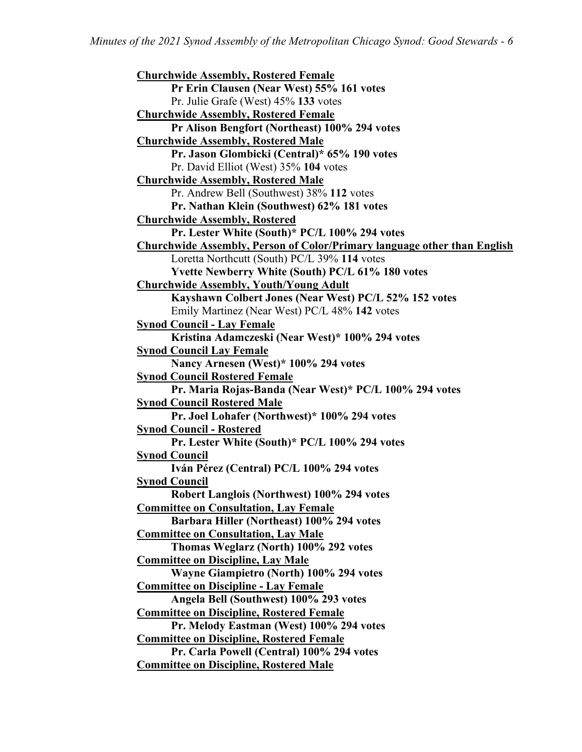**Churchwide Assembly, Rostered Female Pr Erin Clausen (Near West) 55% 161 votes** Pr. Julie Grafe (West) 45% **133** votes **Churchwide Assembly, Rostered Female Pr Alison Bengfort (Northeast) 100% 294 votes Churchwide Assembly, Rostered Male Pr. Jason Glombicki (Central)\* 65% 190 votes** Pr. David Elliot (West) 35% **104** votes **Churchwide Assembly, Rostered Male** Pr. Andrew Bell (Southwest) 38% **112** votes **Pr. Nathan Klein (Southwest) 62% 181 votes Churchwide Assembly, Rostered Pr. Lester White (South)\* PC/L 100% 294 votes Churchwide Assembly, Person of Color/Primary language other than English** Loretta Northcutt (South) PC/L 39% **114** votes **Yvette Newberry White (South) PC/L 61% 180 votes Churchwide Assembly, Youth/Young Adult Kayshawn Colbert Jones (Near West) PC/L 52% 152 votes** Emily Martinez (Near West) PC/L 48% **142** votes **Synod Council - Lay Female Kristina Adamczeski (Near West)\* 100% 294 votes Synod Council Lay Female Nancy Arnesen (West)\* 100% 294 votes Synod Council Rostered Female Pr. Maria Rojas-Banda (Near West)\* PC/L 100% 294 votes Synod Council Rostered Male Pr. Joel Lohafer (Northwest)\* 100% 294 votes Synod Council - Rostered Pr. Lester White (South)\* PC/L 100% 294 votes Synod Council Iván Pérez (Central) PC/L 100% 294 votes Synod Council Robert Langlois (Northwest) 100% 294 votes Committee on Consultation, Lay Female Barbara Hiller (Northeast) 100% 294 votes Committee on Consultation, Lay Male Thomas Weglarz (North) 100% 292 votes Committee on Discipline, Lay Male Wayne Giampietro (North) 100% 294 votes Committee on Discipline - Lay Female Angela Bell (Southwest) 100% 293 votes Committee on Discipline, Rostered Female Pr. Melody Eastman (West) 100% 294 votes Committee on Discipline, Rostered Female Pr. Carla Powell (Central) 100% 294 votes Committee on Discipline, Rostered Male**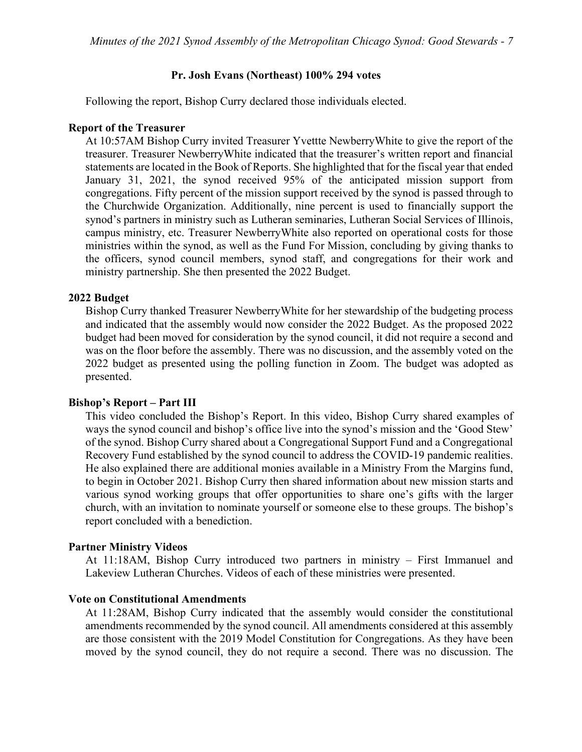#### **Pr. Josh Evans (Northeast) 100% 294 votes**

Following the report, Bishop Curry declared those individuals elected.

#### **Report of the Treasurer**

At 10:57AM Bishop Curry invited Treasurer Yvettte NewberryWhite to give the report of the treasurer. Treasurer NewberryWhite indicated that the treasurer's written report and financial statements are located in the Book of Reports. She highlighted that for the fiscal year that ended January 31, 2021, the synod received 95% of the anticipated mission support from congregations. Fifty percent of the mission support received by the synod is passed through to the Churchwide Organization. Additionally, nine percent is used to financially support the synod's partners in ministry such as Lutheran seminaries, Lutheran Social Services of Illinois, campus ministry, etc. Treasurer NewberryWhite also reported on operational costs for those ministries within the synod, as well as the Fund For Mission, concluding by giving thanks to the officers, synod council members, synod staff, and congregations for their work and ministry partnership. She then presented the 2022 Budget.

#### **2022 Budget**

Bishop Curry thanked Treasurer NewberryWhite for her stewardship of the budgeting process and indicated that the assembly would now consider the 2022 Budget. As the proposed 2022 budget had been moved for consideration by the synod council, it did not require a second and was on the floor before the assembly. There was no discussion, and the assembly voted on the 2022 budget as presented using the polling function in Zoom. The budget was adopted as presented.

#### **Bishop's Report – Part III**

This video concluded the Bishop's Report. In this video, Bishop Curry shared examples of ways the synod council and bishop's office live into the synod's mission and the 'Good Stew' of the synod. Bishop Curry shared about a Congregational Support Fund and a Congregational Recovery Fund established by the synod council to address the COVID-19 pandemic realities. He also explained there are additional monies available in a Ministry From the Margins fund, to begin in October 2021. Bishop Curry then shared information about new mission starts and various synod working groups that offer opportunities to share one's gifts with the larger church, with an invitation to nominate yourself or someone else to these groups. The bishop's report concluded with a benediction.

#### **Partner Ministry Videos**

At 11:18AM, Bishop Curry introduced two partners in ministry – First Immanuel and Lakeview Lutheran Churches. Videos of each of these ministries were presented.

#### **Vote on Constitutional Amendments**

At 11:28AM, Bishop Curry indicated that the assembly would consider the constitutional amendments recommended by the synod council. All amendments considered at this assembly are those consistent with the 2019 Model Constitution for Congregations. As they have been moved by the synod council, they do not require a second. There was no discussion. The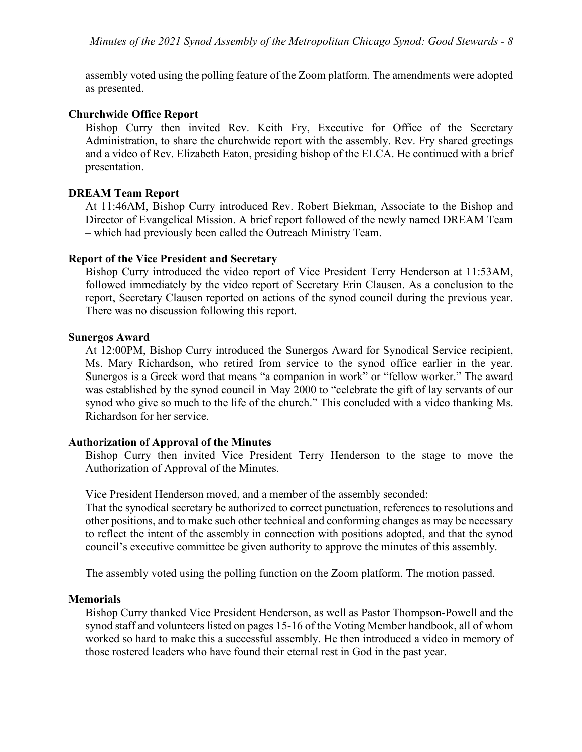assembly voted using the polling feature of the Zoom platform. The amendments were adopted as presented.

#### **Churchwide Office Report**

Bishop Curry then invited Rev. Keith Fry, Executive for Office of the Secretary Administration, to share the churchwide report with the assembly. Rev. Fry shared greetings and a video of Rev. Elizabeth Eaton, presiding bishop of the ELCA. He continued with a brief presentation.

#### **DREAM Team Report**

At 11:46AM, Bishop Curry introduced Rev. Robert Biekman, Associate to the Bishop and Director of Evangelical Mission. A brief report followed of the newly named DREAM Team – which had previously been called the Outreach Ministry Team.

#### **Report of the Vice President and Secretary**

Bishop Curry introduced the video report of Vice President Terry Henderson at 11:53AM, followed immediately by the video report of Secretary Erin Clausen. As a conclusion to the report, Secretary Clausen reported on actions of the synod council during the previous year. There was no discussion following this report.

#### **Sunergos Award**

At 12:00PM, Bishop Curry introduced the Sunergos Award for Synodical Service recipient, Ms. Mary Richardson, who retired from service to the synod office earlier in the year. Sunergos is a Greek word that means "a companion in work" or "fellow worker." The award was established by the synod council in May 2000 to "celebrate the gift of lay servants of our synod who give so much to the life of the church." This concluded with a video thanking Ms. Richardson for her service.

#### **Authorization of Approval of the Minutes**

Bishop Curry then invited Vice President Terry Henderson to the stage to move the Authorization of Approval of the Minutes.

Vice President Henderson moved, and a member of the assembly seconded:

That the synodical secretary be authorized to correct punctuation, references to resolutions and other positions, and to make such other technical and conforming changes as may be necessary to reflect the intent of the assembly in connection with positions adopted, and that the synod council's executive committee be given authority to approve the minutes of this assembly.

The assembly voted using the polling function on the Zoom platform. The motion passed.

#### **Memorials**

Bishop Curry thanked Vice President Henderson, as well as Pastor Thompson-Powell and the synod staff and volunteers listed on pages 15-16 of the Voting Member handbook, all of whom worked so hard to make this a successful assembly. He then introduced a video in memory of those rostered leaders who have found their eternal rest in God in the past year.